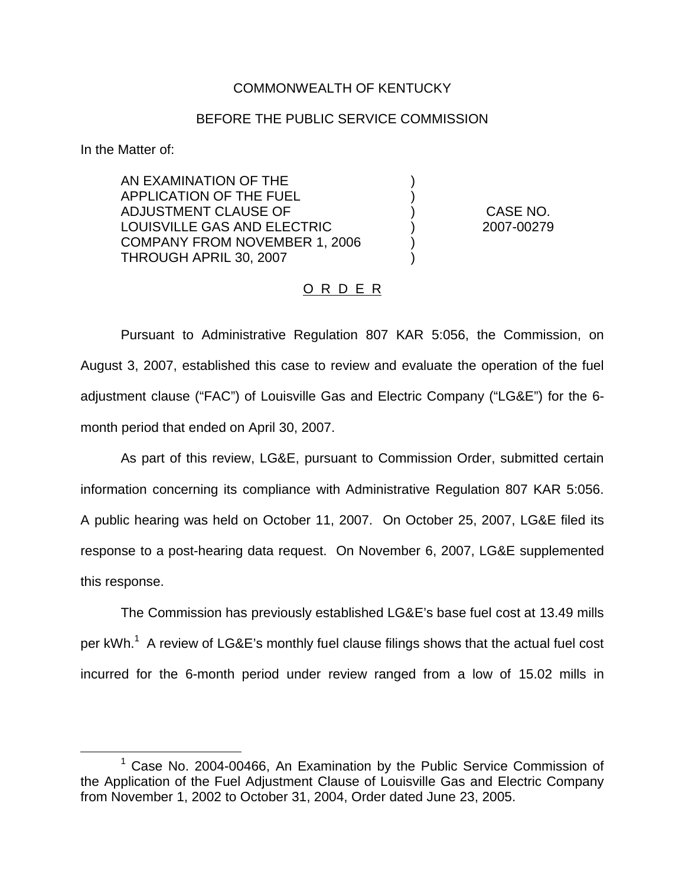## COMMONWEALTH OF KENTUCKY

## BEFORE THE PUBLIC SERVICE COMMISSION

) )

) )

In the Matter of:

AN EXAMINATION OF THE APPLICATION OF THE FUEL ADJUSTMENT CLAUSE OF LOUISVILLE GAS AND ELECTRIC COMPANY FROM NOVEMBER 1, 2006 THROUGH APRIL 30, 2007

) CASE NO. ) 2007-00279

## O R D E R

Pursuant to Administrative Regulation 807 KAR 5:056, the Commission, on August 3, 2007, established this case to review and evaluate the operation of the fuel adjustment clause ("FAC") of Louisville Gas and Electric Company ("LG&E") for the 6 month period that ended on April 30, 2007.

As part of this review, LG&E, pursuant to Commission Order, submitted certain information concerning its compliance with Administrative Regulation 807 KAR 5:056. A public hearing was held on October 11, 2007. On October 25, 2007, LG&E filed its response to a post-hearing data request. On November 6, 2007, LG&E supplemented this response.

The Commission has previously established LG&E's base fuel cost at 13.49 mills per kWh.<sup>1</sup> A review of LG&E's monthly fuel clause filings shows that the actual fuel cost incurred for the 6-month period under review ranged from a low of 15.02 mills in

<sup>&</sup>lt;sup>1</sup> Case No. 2004-00466, An Examination by the Public Service Commission of the Application of the Fuel Adjustment Clause of Louisville Gas and Electric Company from November 1, 2002 to October 31, 2004, Order dated June 23, 2005.